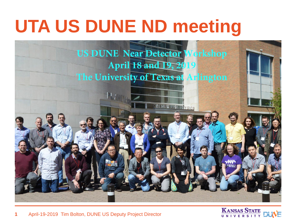# **UTA US DUNE ND meeting**



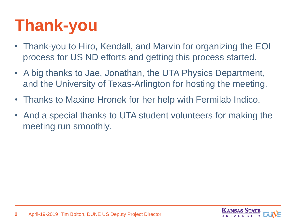### **Thank-you**

- Thank-you to Hiro, Kendall, and Marvin for organizing the EOI process for US ND efforts and getting this process started.
- A big thanks to Jae, Jonathan, the UTA Physics Department, and the University of Texas-Arlington for hosting the meeting.
- Thanks to Maxine Hronek for her help with Fermilab Indico.
- And a special thanks to UTA student volunteers for making the meeting run smoothly.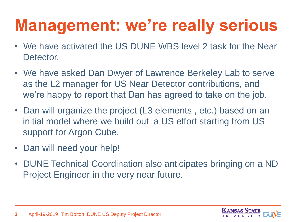#### **Management: we're really serious**

- We have activated the US DUNE WBS level 2 task for the Near Detector.
- We have asked Dan Dwyer of Lawrence Berkeley Lab to serve as the L2 manager for US Near Detector contributions, and we're happy to report that Dan has agreed to take on the job.
- Dan will organize the project (L3 elements , etc.) based on an initial model where we build out a US effort starting from US support for Argon Cube.
- Dan will need your help!
- DUNE Technical Coordination also anticipates bringing on a ND Project Engineer in the very near future.

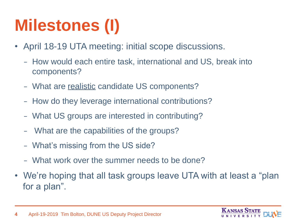## **Milestones (I)**

- April 18-19 UTA meeting: initial scope discussions.
	- How would each entire task, international and US, break into components?
	- What are realistic candidate US components?
	- How do they leverage international contributions?
	- What US groups are interested in contributing?
	- What are the capabilities of the groups?
	- What's missing from the US side?
	- What work over the summer needs to be done?
- We're hoping that all task groups leave UTA with at least a "plan for a plan".

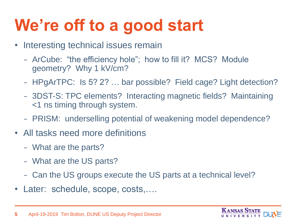#### **We're off to a good start**

- Interesting technical issues remain
	- ArCube: "the efficiency hole"; how to fill it? MCS? Module geometry? Why 1 kV/cm?
	- HPgArTPC: Is 5? 2? … bar possible? Field cage? Light detection?
	- 3DST-S: TPC elements? Interacting magnetic fields? Maintaining <1 ns timing through system.
	- PRISM: underselling potential of weakening model dependence?
- All tasks need more definitions
	- What are the parts?
	- What are the US parts?
	- Can the US groups execute the US parts at a technical level?
- Later: schedule, scope, costs,....